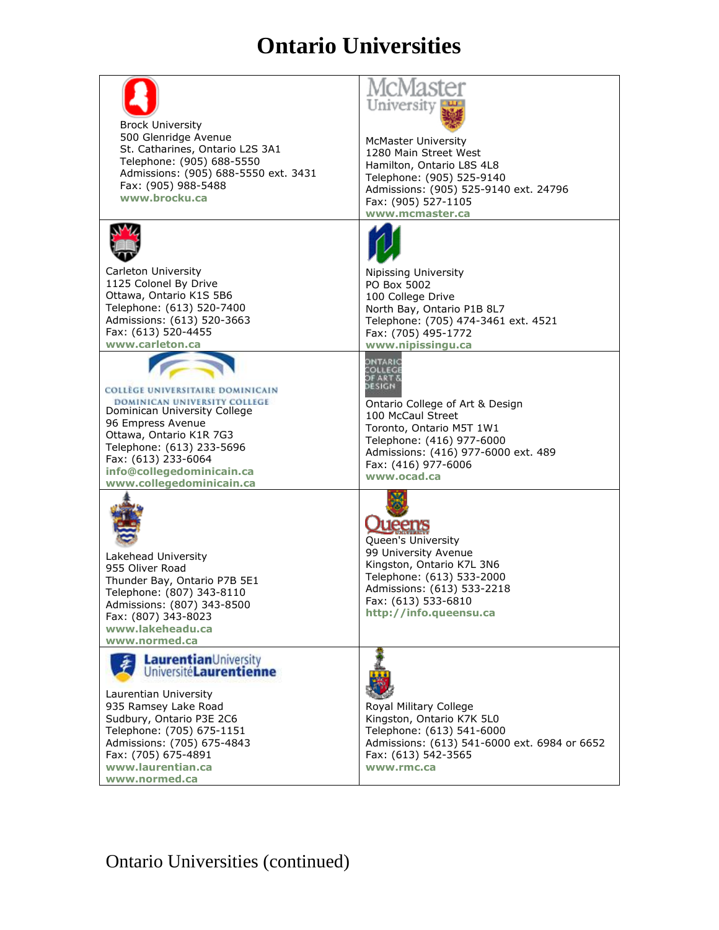## **Ontario Universities**

| <b>Brock University</b><br>500 Glenridge Avenue<br>St. Catharines, Ontario L2S 3A1<br>Telephone: (905) 688-5550<br>Admissions: (905) 688-5550 ext. 3431<br>Fax: (905) 988-5488<br>www.brocku.ca                                                               | University<br><b>McMaster University</b><br>1280 Main Street West<br>Hamilton, Ontario L8S 4L8<br>Telephone: (905) 525-9140<br>Admissions: (905) 525-9140 ext. 24796<br>Fax: (905) 527-1105<br>www.mcmaster.ca |
|---------------------------------------------------------------------------------------------------------------------------------------------------------------------------------------------------------------------------------------------------------------|----------------------------------------------------------------------------------------------------------------------------------------------------------------------------------------------------------------|
| Carleton University<br>1125 Colonel By Drive<br>Ottawa, Ontario K1S 5B6<br>Telephone: (613) 520-7400<br>Admissions: (613) 520-3663<br>Fax: (613) 520-4455<br>www.carleton.ca                                                                                  | Nipissing University<br>PO Box 5002<br>100 College Drive<br>North Bay, Ontario P1B 8L7<br>Telephone: (705) 474-3461 ext. 4521<br>Fax: (705) 495-1772<br>www.nipissingu.ca                                      |
| COLLÈGE UNIVERSITAIRE DOMINICAIN<br>DOMINICAN UNIVERSITY COLLEGE<br>Dominican University College<br>96 Empress Avenue<br>Ottawa, Ontario K1R 7G3<br>Telephone: (613) 233-5696<br>Fax: (613) 233-6064<br>info@collegedominicain.ca<br>www.collegedominicain.ca | dntari<br>Ontario College of Art & Design<br>100 McCaul Street<br>Toronto, Ontario M5T 1W1<br>Telephone: (416) 977-6000<br>Admissions: (416) 977-6000 ext. 489<br>Fax: (416) 977-6006<br>www.ocad.ca           |
| Lakehead University<br>955 Oliver Road<br>Thunder Bay, Ontario P7B 5E1<br>Telephone: (807) 343-8110<br>Admissions: (807) 343-8500<br>Fax: (807) 343-8023<br>www.lakeheadu.ca<br>www.normed.ca                                                                 | weens<br>Queen's University<br>99 University Avenue<br>Kingston, Ontario K7L 3N6<br>Telephone: (613) 533-2000<br>Admissions: (613) 533-2218<br>Fax: (613) 533-6810<br>http://info.queensu.ca                   |
| LaurentianUniversity<br>UniversitéLaurentienne<br>Laurentian University<br>935 Ramsey Lake Road<br>Sudbury, Ontario P3E 2C6<br>Telephone: (705) 675-1151<br>Admissions: (705) 675-4843<br>Fax: (705) 675-4891<br>www.laurentian.ca<br>www.normed.ca           | Royal Military College<br>Kingston, Ontario K7K 5L0<br>Telephone: (613) 541-6000<br>Admissions: (613) 541-6000 ext. 6984 or 6652<br>Fax: (613) 542-3565<br>www.rmc.ca                                          |

Ontario Universities (continued)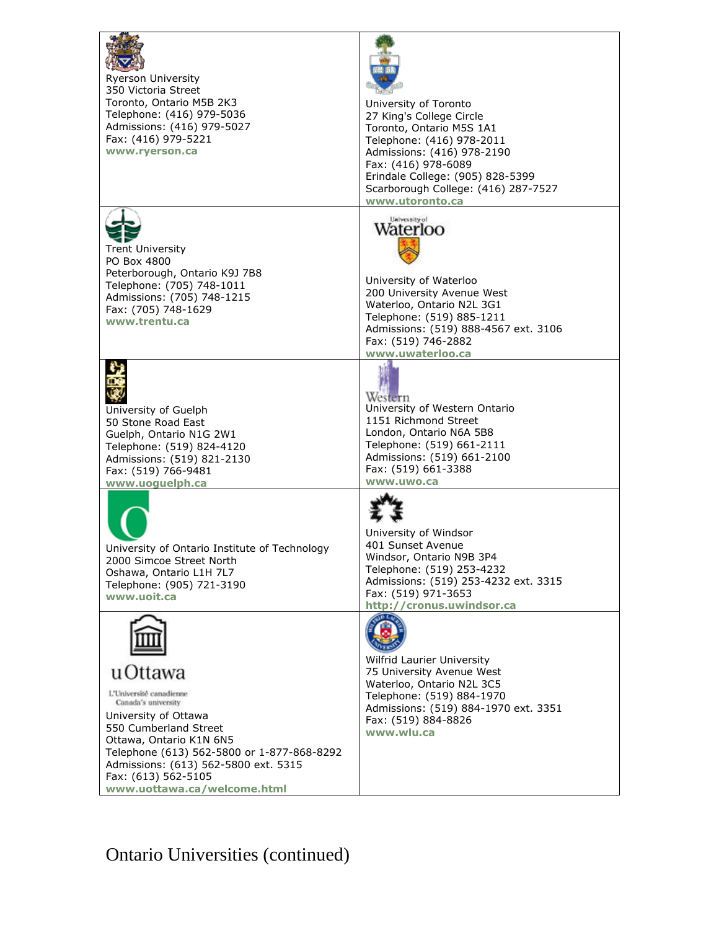

Ryerson University 350 Victoria Street Toronto, Ontario M5B 2K3 Telephone: (416) 979-5036 Admissions: (416) 979-5027 Fax: (416) 979-5221 **[www.ryerson.ca](http://www.ryerson.ca/)**



University of Toronto 27 King's College Circle Toronto, Ontario M5S 1A1 Telephone: (416) 978-2011 Admissions: (416) 978-2190 Fax: (416) 978-6089 Erindale College: (905) 828-5399 Scarborough College: (416) 287-7527 **[www.utoronto.ca](http://www.utoronto.ca/)**



Trent University PO Box 4800 Peterborough, Ontario K9J 7B8 Telephone: (705) 748-1011 Admissions: (705) 748-1215 Fax: (705) 748-1629 **[www.trentu.ca](http://www.trentu.ca/)**



University of Guelph 50 Stone Road East Guelph, Ontario N1G 2W1 Telephone: (519) 824-4120 Admissions: (519) 821-2130 Fax: (519) 766-9481 **[www.uoguelph.ca](http://www.uoguelph.ca/)**



University of Ontario Institute of Technology 2000 Simcoe Street North Oshawa, Ontario L1H 7L7 Telephone: (905) 721-3190 **[www.uoit.ca](http://www.uoit.ca/)**



u Ottawa

L'Université canadienne Canada's university

University of Ottawa 550 Cumberland Street Ottawa, Ontario K1N 6N5 Telephone (613) 562-5800 or 1-877-868-8292 Admissions: (613) 562-5800 ext. 5315 Fax: (613) 562-5105 **[www.uottawa.ca/welcome.html](http://www.uottawa.ca/welcome.html)**



University of Waterloo 200 University Avenue West Waterloo, Ontario N2L 3G1 Telephone: (519) 885-1211 Admissions: (519) 888-4567 ext. 3106 Fax: (519) 746-2882 **[www.uwaterloo.ca](http://www.uwaterloo.ca/)**



Western University of Western Ontario 1151 Richmond Street London, Ontario N6A 5B8 Telephone: (519) 661-2111 Admissions: (519) 661-2100 Fax: (519) 661-3388 **[www.uwo.ca](http://www.uwo.ca/)**



University of Windsor 401 Sunset Avenue Windsor, Ontario N9B 3P4 Telephone: (519) 253-4232 Admissions: (519) 253-4232 ext. 3315 Fax: (519) 971-3653 **[http://cronus.uwindsor.ca](http://cronus.uwindsor.ca/)**



Wilfrid Laurier University 75 University Avenue West Waterloo, Ontario N2L 3C5 Telephone: (519) 884-1970 Admissions: (519) 884-1970 ext. 3351 Fax: (519) 884-8826 **[www.wlu.ca](http://www.wlu.ca/)**

Ontario Universities (continued)